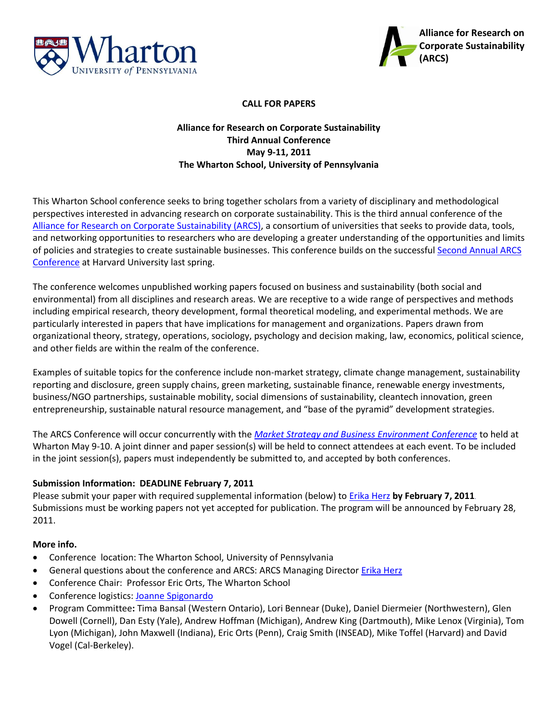



### **CALL FOR PAPERS**

# **Alliance for Research on Corporate Sustainability Third Annual Conference May 9-11, 2011 The Wharton School, University of Pennsylvania**

This Wharton School conference seeks to bring together scholars from a variety of disciplinary and methodological perspectives interested in advancing research on corporate sustainability. This is the third annual conference of the [Alliance for Research on Corporate Sustainability \(ARCS\),](http://www.corporate-sustainability.org/) a consortium of universities that seeks to provide data, tools, and networking opportunities to researchers who are developing a greater understanding of the opportunities and limits of policies and strategies to create sustainable businesses. This conference builds on the successful [Second Annual](http://www.hbs.edu/units/tom/conferences/2010/arcs/) ARCS [Conference](http://www.hbs.edu/units/tom/conferences/2010/arcs/) at Harvard University last spring.

The conference welcomes unpublished working papers focused on business and sustainability (both social and environmental) from all disciplines and research areas. We are receptive to a wide range of perspectives and methods including empirical research, theory development, formal theoretical modeling, and experimental methods. We are particularly interested in papers that have implications for management and organizations. Papers drawn from organizational theory, strategy, operations, sociology, psychology and decision making, law, economics, political science, and other fields are within the realm of the conference.

Examples of suitable topics for the conference include non-market strategy, climate change management, sustainability reporting and disclosure, green supply chains, green marketing, sustainable finance, renewable energy investments, business/NGO partnerships, sustainable mobility, social dimensions of sustainability, cleantech innovation, green entrepreneurship, sustainable natural resource management, and "base of the pyramid" development strategies.

The ARCS Conference will occur concurrently with the *[Market Strategy and Business Environment Conference](http://www-management.wharton.upenn.edu/henisz/msbe/)* to held at Wharton May 9-10. A joint dinner and paper session(s) will be held to connect attendees at each event. To be included in the joint session(s), papers must independently be submitted to, and accepted by both conferences.

## **Submission Information: DEADLINE February 7, 2011**

Please submit your paper with required supplemental information (below) to [Erika Herz](mailto:herze@darden.virginia.edu) **by February 7, 2011**. Submissions must be working papers not yet accepted for publication. The program will be announced by February 28, 2011.

#### **More info.**

- Conference location: The Wharton School, University of Pennsylvania
- **General questions about the conference and ARCS: ARCS Managing Director [Erika Herz](mailto:herze@darden.virginia.edu)**
- Conference Chair: Professor Eric Orts, The Wharton School
- Conference logistics: [Joanne Spigonardo](mailto:spigonaj@wharton.upenn.edu)
- Program Committee**:** Tima Bansal (Western Ontario), Lori Bennear (Duke), Daniel Diermeier (Northwestern), Glen Dowell (Cornell), Dan Esty (Yale), Andrew Hoffman (Michigan), Andrew King (Dartmouth), Mike Lenox (Virginia), Tom Lyon (Michigan), John Maxwell (Indiana), Eric Orts (Penn), Craig Smith (INSEAD), Mike Toffel (Harvard) and David Vogel (Cal-Berkeley).